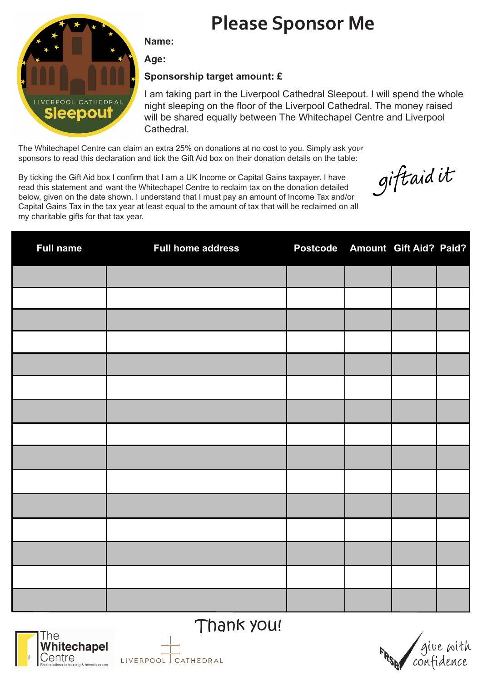# **Please Sponsor Me**



**Name:** 

**Age:**

#### **Sponsorship target amount: £**

I am taking part in the Liverpool Cathedral Sleepout. I will spend the whole night sleeping on the floor of the Liverpool Cathedral. The money raised will be shared equally between The Whitechapel Centre and Liverpool Cathedral.

The Whitechapel Centre can claim an extra 25% on donations at no cost to you. Simply ask your sponsors to read this declaration and tick the Gift Aid box on their donation details on the table:

giftaid it

By ticking the Gift Aid box I confirm that I am a UK Income or Capital Gains taxpayer. I have read this statement and want the Whitechapel Centre to reclaim tax on the donation detailed below, given on the date shown. I understand that I must pay an amount of Income Tax and/or Capital Gains Tax in the tax year at least equal to the amount of tax that will be reclaimed on all my charitable gifts for that tax year.

| <b>Full name</b> | <b>Full home address</b> | Postcode Amount Gift Aid? Paid? |  |  |
|------------------|--------------------------|---------------------------------|--|--|
|                  |                          |                                 |  |  |
|                  |                          |                                 |  |  |
|                  |                          |                                 |  |  |
|                  |                          |                                 |  |  |
|                  |                          |                                 |  |  |
|                  |                          |                                 |  |  |
|                  |                          |                                 |  |  |
|                  |                          |                                 |  |  |
|                  |                          |                                 |  |  |
|                  |                          |                                 |  |  |
|                  |                          |                                 |  |  |
|                  |                          |                                 |  |  |
|                  |                          |                                 |  |  |
|                  |                          |                                 |  |  |
|                  |                          |                                 |  |  |



Thank you!

LIVERPOOL GATHEDRAL